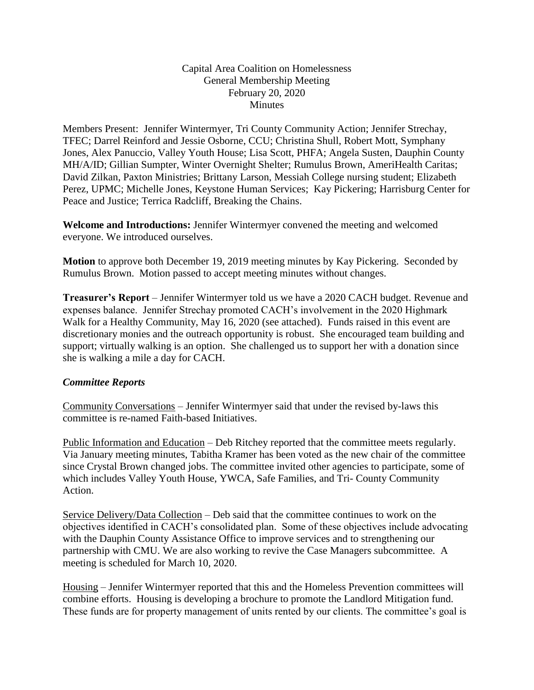## Capital Area Coalition on Homelessness General Membership Meeting February 20, 2020 Minutes

Members Present: Jennifer Wintermyer, Tri County Community Action; Jennifer Strechay, TFEC; Darrel Reinford and Jessie Osborne, CCU; Christina Shull, Robert Mott, Symphany Jones, Alex Panuccio, Valley Youth House; Lisa Scott, PHFA; Angela Susten, Dauphin County MH/A/ID; Gillian Sumpter, Winter Overnight Shelter; Rumulus Brown, AmeriHealth Caritas; David Zilkan, Paxton Ministries; Brittany Larson, Messiah College nursing student; Elizabeth Perez, UPMC; Michelle Jones, Keystone Human Services; Kay Pickering; Harrisburg Center for Peace and Justice; Terrica Radcliff, Breaking the Chains.

**Welcome and Introductions:** Jennifer Wintermyer convened the meeting and welcomed everyone. We introduced ourselves.

**Motion** to approve both December 19, 2019 meeting minutes by Kay Pickering. Seconded by Rumulus Brown. Motion passed to accept meeting minutes without changes.

**Treasurer's Report** – Jennifer Wintermyer told us we have a 2020 CACH budget. Revenue and expenses balance. Jennifer Strechay promoted CACH's involvement in the 2020 Highmark Walk for a Healthy Community, May 16, 2020 (see attached). Funds raised in this event are discretionary monies and the outreach opportunity is robust. She encouraged team building and support; virtually walking is an option. She challenged us to support her with a donation since she is walking a mile a day for CACH.

## *Committee Reports*

Community Conversations – Jennifer Wintermyer said that under the revised by-laws this committee is re-named Faith-based Initiatives.

Public Information and Education – Deb Ritchey reported that the committee meets regularly. Via January meeting minutes, Tabitha Kramer has been voted as the new chair of the committee since Crystal Brown changed jobs. The committee invited other agencies to participate, some of which includes Valley Youth House, YWCA, Safe Families, and Tri- County Community Action.

Service Delivery/Data Collection – Deb said that the committee continues to work on the objectives identified in CACH's consolidated plan. Some of these objectives include advocating with the Dauphin County Assistance Office to improve services and to strengthening our partnership with CMU. We are also working to revive the Case Managers subcommittee. A meeting is scheduled for March 10, 2020.

Housing – Jennifer Wintermyer reported that this and the Homeless Prevention committees will combine efforts. Housing is developing a brochure to promote the Landlord Mitigation fund. These funds are for property management of units rented by our clients. The committee's goal is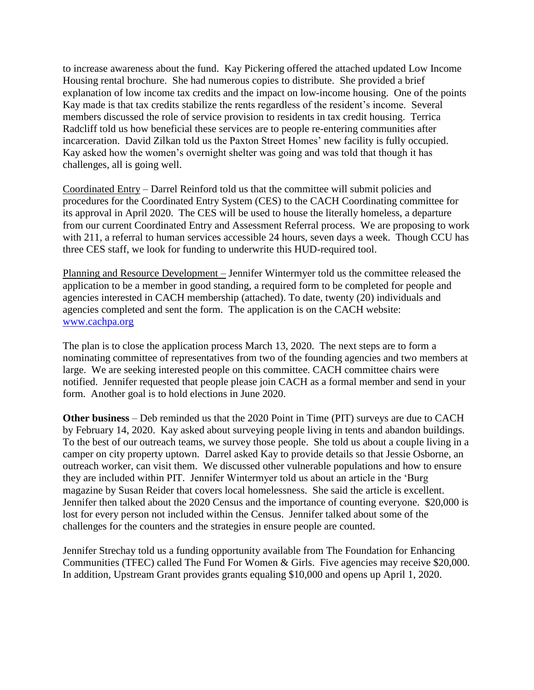to increase awareness about the fund. Kay Pickering offered the attached updated Low Income Housing rental brochure. She had numerous copies to distribute. She provided a brief explanation of low income tax credits and the impact on low-income housing. One of the points Kay made is that tax credits stabilize the rents regardless of the resident's income. Several members discussed the role of service provision to residents in tax credit housing. Terrica Radcliff told us how beneficial these services are to people re-entering communities after incarceration. David Zilkan told us the Paxton Street Homes' new facility is fully occupied. Kay asked how the women's overnight shelter was going and was told that though it has challenges, all is going well.

Coordinated Entry – Darrel Reinford told us that the committee will submit policies and procedures for the Coordinated Entry System (CES) to the CACH Coordinating committee for its approval in April 2020. The CES will be used to house the literally homeless, a departure from our current Coordinated Entry and Assessment Referral process. We are proposing to work with 211, a referral to human services accessible 24 hours, seven days a week. Though CCU has three CES staff, we look for funding to underwrite this HUD-required tool.

Planning and Resource Development – Jennifer Wintermyer told us the committee released the application to be a member in good standing, a required form to be completed for people and agencies interested in CACH membership (attached). To date, twenty (20) individuals and agencies completed and sent the form. The application is on the CACH website: [www.cachpa.org](http://www.cachpa.org/)

The plan is to close the application process March 13, 2020. The next steps are to form a nominating committee of representatives from two of the founding agencies and two members at large. We are seeking interested people on this committee. CACH committee chairs were notified. Jennifer requested that people please join CACH as a formal member and send in your form. Another goal is to hold elections in June 2020.

**Other business** – Deb reminded us that the 2020 Point in Time (PIT) surveys are due to CACH by February 14, 2020. Kay asked about surveying people living in tents and abandon buildings. To the best of our outreach teams, we survey those people. She told us about a couple living in a camper on city property uptown. Darrel asked Kay to provide details so that Jessie Osborne, an outreach worker, can visit them. We discussed other vulnerable populations and how to ensure they are included within PIT. Jennifer Wintermyer told us about an article in the 'Burg magazine by Susan Reider that covers local homelessness. She said the article is excellent. Jennifer then talked about the 2020 Census and the importance of counting everyone. \$20,000 is lost for every person not included within the Census. Jennifer talked about some of the challenges for the counters and the strategies in ensure people are counted.

Jennifer Strechay told us a funding opportunity available from The Foundation for Enhancing Communities (TFEC) called The Fund For Women & Girls. Five agencies may receive \$20,000. In addition, Upstream Grant provides grants equaling \$10,000 and opens up April 1, 2020.